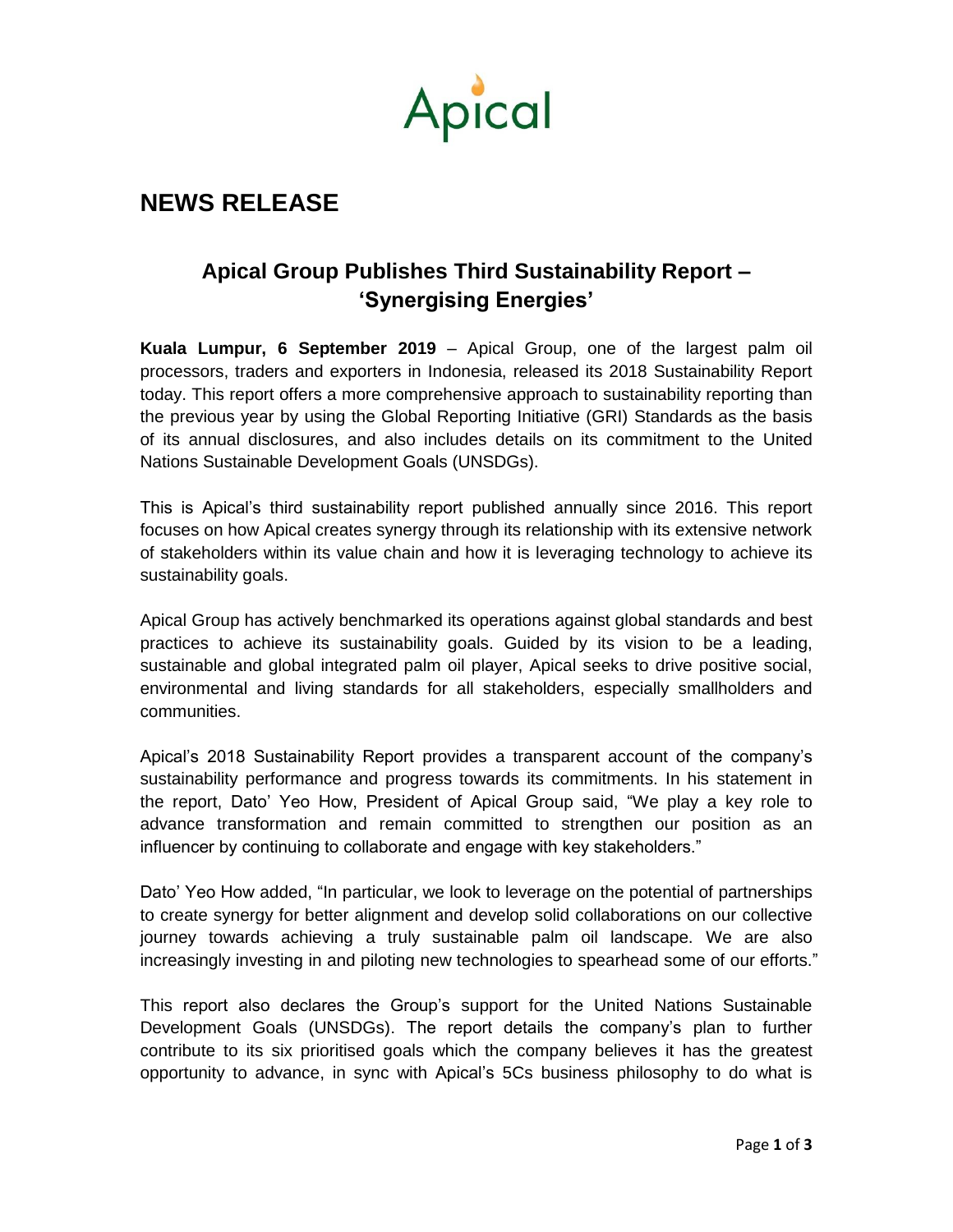

## **NEWS RELEASE**

## **Apical Group Publishes Third Sustainability Report – 'Synergising Energies'**

**Kuala Lumpur, 6 September 2019** – Apical Group, one of the largest palm oil processors, traders and exporters in Indonesia, released its 2018 Sustainability Report today. This report offers a more comprehensive approach to sustainability reporting than the previous year by using the Global Reporting Initiative (GRI) Standards as the basis of its annual disclosures, and also includes details on its commitment to the United Nations Sustainable Development Goals (UNSDGs).

This is Apical's third sustainability report published annually since 2016. This report focuses on how Apical creates synergy through its relationship with its extensive network of stakeholders within its value chain and how it is leveraging technology to achieve its sustainability goals.

Apical Group has actively benchmarked its operations against global standards and best practices to achieve its sustainability goals. Guided by its vision to be a leading, sustainable and global integrated palm oil player, Apical seeks to drive positive social, environmental and living standards for all stakeholders, especially smallholders and communities.

Apical's 2018 Sustainability Report provides a transparent account of the company's sustainability performance and progress towards its commitments. In his statement in the report, Dato' Yeo How, President of Apical Group said, "We play a key role to advance transformation and remain committed to strengthen our position as an influencer by continuing to collaborate and engage with key stakeholders."

Dato' Yeo How added, "In particular, we look to leverage on the potential of partnerships to create synergy for better alignment and develop solid collaborations on our collective journey towards achieving a truly sustainable palm oil landscape. We are also increasingly investing in and piloting new technologies to spearhead some of our efforts."

This report also declares the Group's support for the United Nations Sustainable Development Goals (UNSDGs). The report details the company's plan to further contribute to its six prioritised goals which the company believes it has the greatest opportunity to advance, in sync with Apical's 5Cs business philosophy to do what is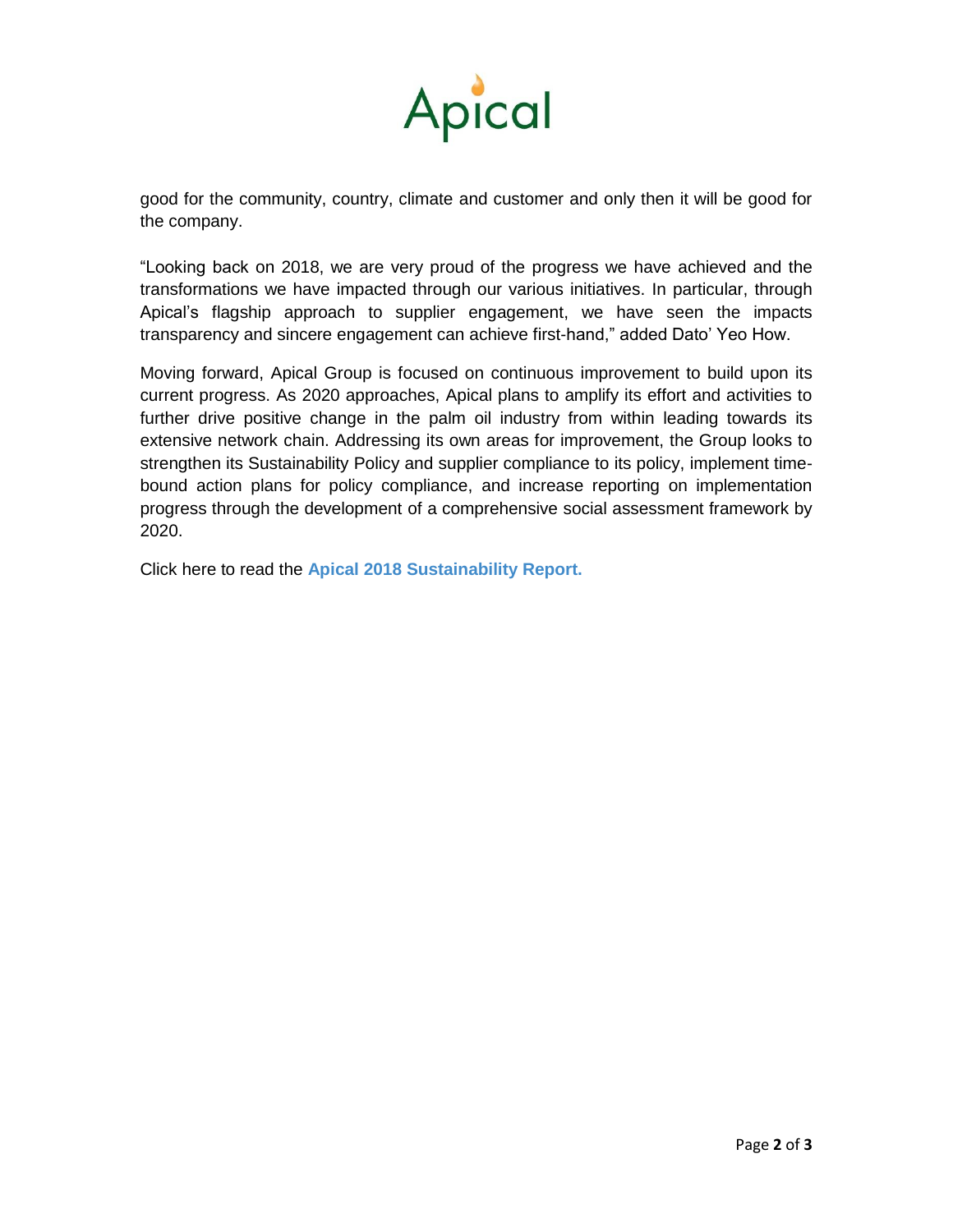

good for the community, country, climate and customer and only then it will be good for the company.

"Looking back on 2018, we are very proud of the progress we have achieved and the transformations we have impacted through our various initiatives. In particular, through Apical's flagship approach to supplier engagement, we have seen the impacts transparency and sincere engagement can achieve first-hand," added Dato' Yeo How.

Moving forward, Apical Group is focused on continuous improvement to build upon its current progress. As 2020 approaches, Apical plans to amplify its effort and activities to further drive positive change in the palm oil industry from within leading towards its extensive network chain. Addressing its own areas for improvement, the Group looks to strengthen its Sustainability Policy and supplier compliance to its policy, implement timebound action plans for policy compliance, and increase reporting on implementation progress through the development of a comprehensive social assessment framework by 2020.

Click here to read the **[Apical 2018 Sustainability Report.](https://www.apicalgroup.com/wp-content/uploads/2019/09/Apical-SR18_Standard_060919.pdf)**